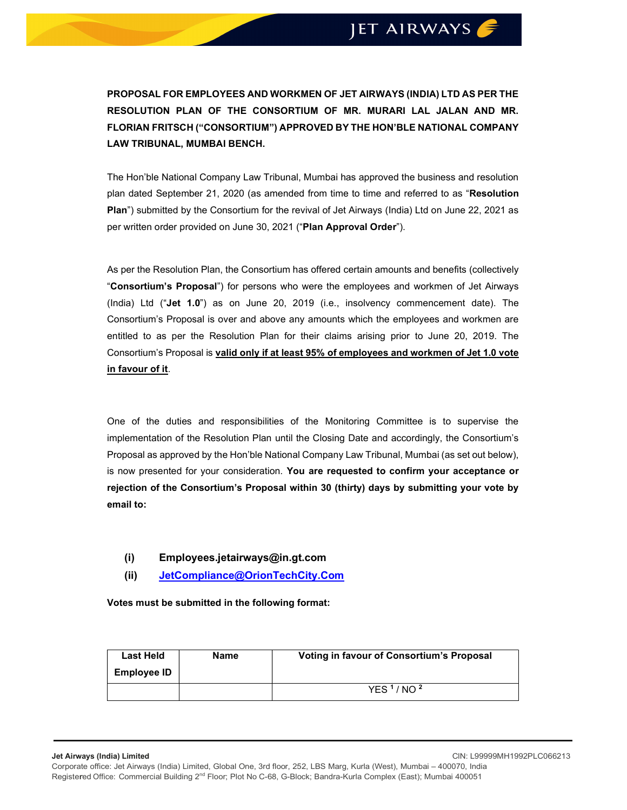PROPOSAL FOR EMPLOYEES AND WORKMEN OF JET AIRWAYS (INDIA) LTD AS PER THE RESOLUTION PLAN OF THE CONSORTIUM OF MR. MURARI LAL JALAN AND MR. FLORIAN FRITSCH ("CONSORTIUM") APPROVED BY THE HON'BLE NATIONAL COMPANY LAW TRIBUNAL, MUMBAI BENCH.

The Hon'ble National Company Law Tribunal, Mumbai has approved the business and resolution plan dated September 21, 2020 (as amended from time to time and referred to as "Resolution Plan") submitted by the Consortium for the revival of Jet Airways (India) Ltd on June 22, 2021 as per written order provided on June 30, 2021 ("Plan Approval Order").

As per the Resolution Plan, the Consortium has offered certain amounts and benefits (collectively "Consortium's Proposal") for persons who were the employees and workmen of Jet Airways (India) Ltd ("Jet 1.0") as on June 20, 2019 (i.e., insolvency commencement date). The Consortium's Proposal is over and above any amounts which the employees and workmen are entitled to as per the Resolution Plan for their claims arising prior to June 20, 2019. The Consortium's Proposal is valid only if at least 95% of employees and workmen of Jet 1.0 vote in favour of it.

One of the duties and responsibilities of the Monitoring Committee is to supervise the implementation of the Resolution Plan until the Closing Date and accordingly, the Consortium's Proposal as approved by the Hon'ble National Company Law Tribunal, Mumbai (as set out below), is now presented for your consideration. You are requested to confirm your acceptance or rejection of the Consortium's Proposal within 30 (thirty) days by submitting your vote by email to:

- (i) Employees.jetairways@in.gt.com
- (ii) JetCompliance@OrionTechCity.Com

Votes must be submitted in the following format:

| <b>Last Held</b>   | <b>Name</b> | Voting in favour of Consortium's Proposal |
|--------------------|-------------|-------------------------------------------|
| <b>Employee ID</b> |             |                                           |
|                    |             | YFS <sup>1</sup> /NO <sup>2</sup>         |

Jet Airways (India) Limited ClN: L99999MH1992PLC066213 Corporate office: Jet Airways (India) Limited, Global One, 3rd floor, 252, LBS Marg, Kurla (West), Mumbai – 400070, India Registered Office: Commercial Building 2nd Floor; Plot No C-68, G-Block; Bandra-Kurla Complex (East); Mumbai 400051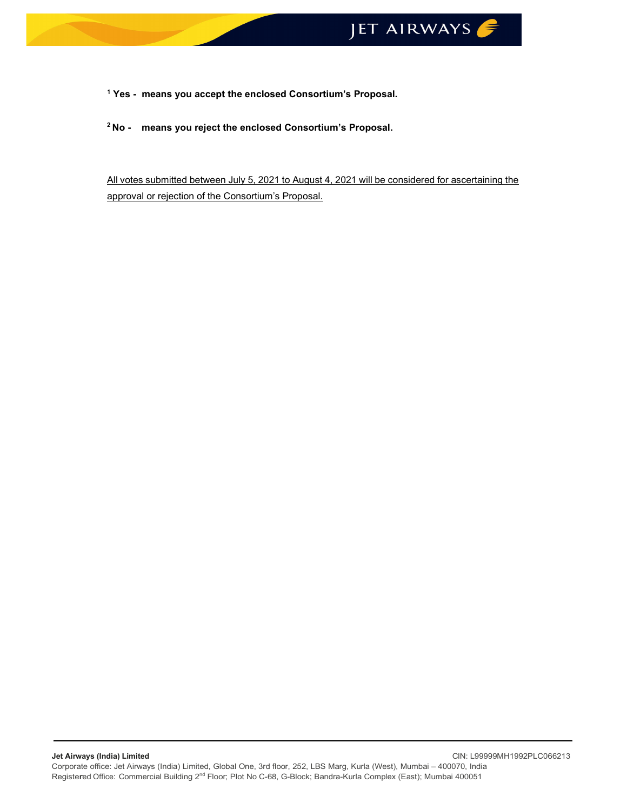

1 Yes - means you accept the enclosed Consortium's Proposal.

<sup>2</sup>No - means you reject the enclosed Consortium's Proposal.

All votes submitted between July 5, 2021 to August 4, 2021 will be considered for ascertaining the approval or rejection of the Consortium's Proposal.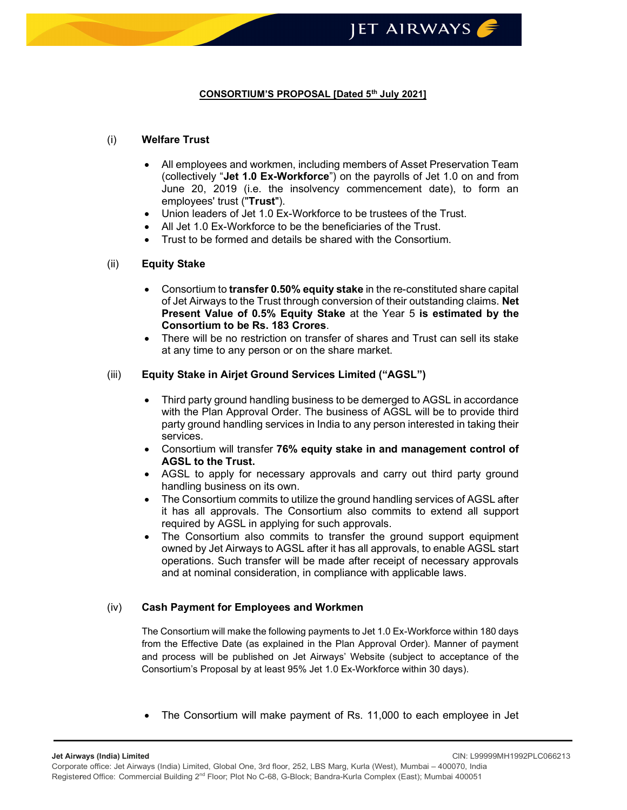#### CONSORTIUM'S PROPOSAL [Dated 5<sup>th</sup> July 2021]

### (i) Welfare Trust

- All employees and workmen, including members of Asset Preservation Team (collectively "Jet 1.0 Ex-Workforce") on the payrolls of Jet 1.0 on and from June 20, 2019 (i.e. the insolvency commencement date), to form an employees' trust ("Trust").
- Union leaders of Jet 1.0 Ex-Workforce to be trustees of the Trust.
- All Jet 1.0 Ex-Workforce to be the beneficiaries of the Trust.
- Trust to be formed and details be shared with the Consortium.

### (ii) Equity Stake

- Consortium to transfer 0.50% equity stake in the re-constituted share capital of Jet Airways to the Trust through conversion of their outstanding claims. Net Present Value of 0.5% Equity Stake at the Year 5 is estimated by the Consortium to be Rs. 183 Crores.
- There will be no restriction on transfer of shares and Trust can sell its stake at any time to any person or on the share market.

### (iii) Equity Stake in Airjet Ground Services Limited ("AGSL")

- Third party ground handling business to be demerged to AGSL in accordance with the Plan Approval Order. The business of AGSL will be to provide third party ground handling services in India to any person interested in taking their services.
- Consortium will transfer 76% equity stake in and management control of AGSL to the Trust.
- AGSL to apply for necessary approvals and carry out third party ground handling business on its own.
- The Consortium commits to utilize the ground handling services of AGSL after it has all approvals. The Consortium also commits to extend all support required by AGSL in applying for such approvals.
- The Consortium also commits to transfer the ground support equipment owned by Jet Airways to AGSL after it has all approvals, to enable AGSL start operations. Such transfer will be made after receipt of necessary approvals and at nominal consideration, in compliance with applicable laws.

# (iv) Cash Payment for Employees and Workmen

The Consortium will make the following payments to Jet 1.0 Ex-Workforce within 180 days from the Effective Date (as explained in the Plan Approval Order). Manner of payment and process will be published on Jet Airways' Website (subject to acceptance of the Consortium's Proposal by at least 95% Jet 1.0 Ex-Workforce within 30 days).

The Consortium will make payment of Rs. 11,000 to each employee in Jet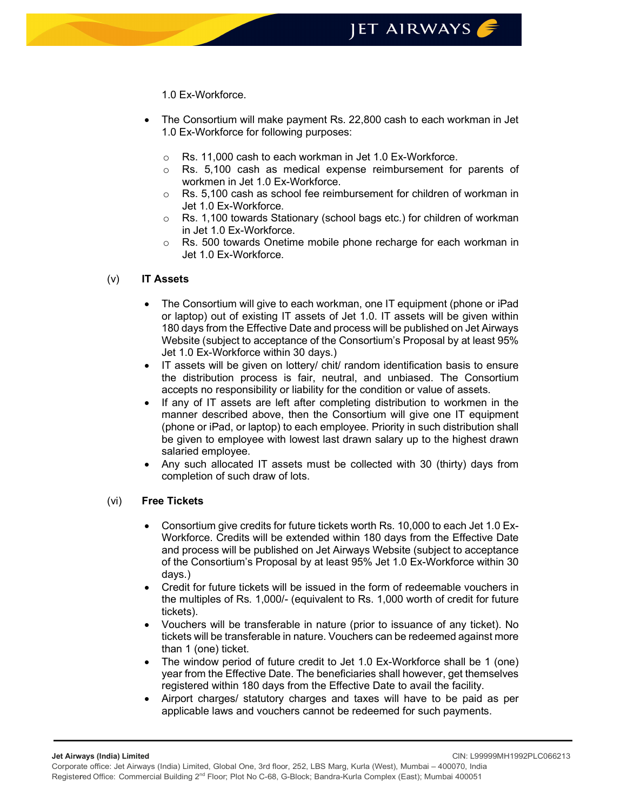1.0 Ex-Workforce.

- The Consortium will make payment Rs. 22,800 cash to each workman in Jet 1.0 Ex-Workforce for following purposes:
	- o Rs. 11,000 cash to each workman in Jet 1.0 Ex-Workforce.
	- $\circ$  Rs. 5,100 cash as medical expense reimbursement for parents of workmen in Jet 1.0 Ex-Workforce.
	- $\circ$  Rs. 5,100 cash as school fee reimbursement for children of workman in Jet 1.0 Ex-Workforce.
	- o Rs. 1,100 towards Stationary (school bags etc.) for children of workman in Jet 1.0 Ex-Workforce.
	- $\circ$  Rs. 500 towards Onetime mobile phone recharge for each workman in Jet 1.0 Ex-Workforce.

# (v) IT Assets

- The Consortium will give to each workman, one IT equipment (phone or iPad or laptop) out of existing IT assets of Jet 1.0. IT assets will be given within 180 days from the Effective Date and process will be published on Jet Airways Website (subject to acceptance of the Consortium's Proposal by at least 95% Jet 1.0 Ex-Workforce within 30 days.)
- IT assets will be given on lottery/ chit/ random identification basis to ensure the distribution process is fair, neutral, and unbiased. The Consortium accepts no responsibility or liability for the condition or value of assets.
- If any of IT assets are left after completing distribution to workmen in the manner described above, then the Consortium will give one IT equipment (phone or iPad, or laptop) to each employee. Priority in such distribution shall be given to employee with lowest last drawn salary up to the highest drawn salaried employee.
- Any such allocated IT assets must be collected with 30 (thirty) days from completion of such draw of lots.

# (vi) Free Tickets

- Consortium give credits for future tickets worth Rs. 10,000 to each Jet 1.0 Ex-Workforce. Credits will be extended within 180 days from the Effective Date and process will be published on Jet Airways Website (subject to acceptance of the Consortium's Proposal by at least 95% Jet 1.0 Ex-Workforce within 30 days.)
- Credit for future tickets will be issued in the form of redeemable vouchers in the multiples of Rs. 1,000/- (equivalent to Rs. 1,000 worth of credit for future tickets).
- Vouchers will be transferable in nature (prior to issuance of any ticket). No tickets will be transferable in nature. Vouchers can be redeemed against more than 1 (one) ticket.
- The window period of future credit to Jet 1.0 Ex-Workforce shall be 1 (one) year from the Effective Date. The beneficiaries shall however, get themselves registered within 180 days from the Effective Date to avail the facility.
- Airport charges/ statutory charges and taxes will have to be paid as per applicable laws and vouchers cannot be redeemed for such payments.